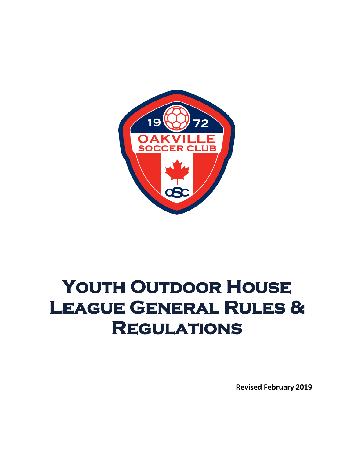

# YOUTH OUTDOOR HOUSE **League General Rules & Regulations**

**Revised February 2019**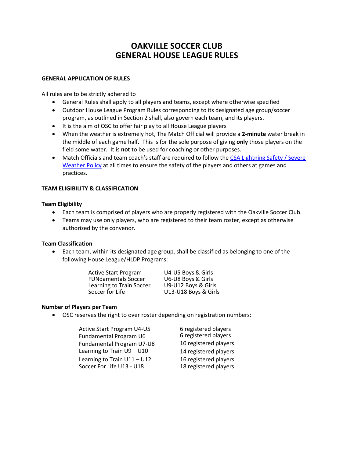# **OAKVILLE SOCCER CLUB GENERAL HOUSE LEAGUE RULES**

#### **GENERAL APPLICATION OF RULES**

All rules are to be strictly adhered to

- General Rules shall apply to all players and teams, except where otherwise specified
- Outdoor House League Program Rules corresponding to its designated age group/soccer program, as outlined in Section 2 shall, also govern each team, and its players.
- It is the aim of OSC to offer fair play to all House League players
- When the weather is extremely hot, The Match Official will provide a **2-minute** water break in the middle of each game half. This is for the sole purpose of giving **only** those players on the field some water. It is **not** to be used for coaching or other purposes.
- Match Officials and team coach's staff are required to follow the [CSA Lightning](http://www.canadasoccer.com/files/LIGHTNING_Policy.pdf) Safety / Severe [Weather Policy](http://www.canadasoccer.com/files/LIGHTNING_Policy.pdf) at all times to ensure the safety of the players and others at games and practices.

### **TEAM ELIGIBILITY & CLASSIFICATION**

#### **Team Eligibility**

- Each team is comprised of players who are properly registered with the Oakville Soccer Club.
- Teams may use only players, who are registered to their team roster, except as otherwise authorized by the convenor.

#### **Team Classification**

• Each team, within its designated age group, shall be classified as belonging to one of the following House League/HLDP Programs:

| U4-U5 Boys & Girls   |
|----------------------|
| U6-U8 Boys & Girls   |
| U9-U12 Boys & Girls  |
| U13-U18 Boys & Girls |
|                      |

# **Number of Players per Team**

• OSC reserves the right to over roster depending on registration numbers:

| <b>Active Start Program U4-U5</b> | 6 registered players  |
|-----------------------------------|-----------------------|
| Fundamental Program U6            | 6 registered players  |
| Fundamental Program U7-U8         | 10 registered players |
| Learning to Train U9 - U10        | 14 registered players |
| Learning to Train $U11 - U12$     | 16 registered players |
| Soccer For Life U13 - U18         | 18 registered players |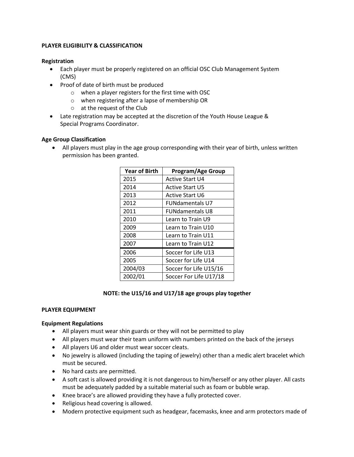### **PLAYER ELIGIBILITY & CLASSIFICATION**

#### **Registration**

- Each player must be properly registered on an official OSC Club Management System (CMS)
- Proof of date of birth must be produced
	- o when a player registers for the first time with OSC
	- o when registering after a lapse of membership OR
	- o at the request of the Club
- Late registration may be accepted at the discretion of the Youth House League & Special Programs Coordinator.

### **Age Group Classification**

• All players must play in the age group corresponding with their year of birth, unless written permission has been granted.

| <b>Year of Birth</b> | Program/Age Group      |
|----------------------|------------------------|
| 2015                 | <b>Active Start U4</b> |
| 2014                 | <b>Active Start U5</b> |
| 2013                 | <b>Active Start U6</b> |
| 2012                 | <b>FUNdamentals U7</b> |
| 2011                 | <b>FUNdamentals U8</b> |
| 2010                 | Learn to Train U9      |
| 2009                 | Learn to Train U10     |
| 2008                 | Learn to Train U11     |
| 2007                 | Learn to Train U12     |
| 2006                 | Soccer for Life U13    |
| 2005                 | Soccer for Life U14    |
| 2004/03              | Soccer for Life U15/16 |
| 2002/01              | Soccer For Life U17/18 |

#### **NOTE: the U15/16 and U17/18 age groups play together**

#### **PLAYER EQUIPMENT**

#### **Equipment Regulations**

- All players must wear shin guards or they will not be permitted to play
- All players must wear their team uniform with numbers printed on the back of the jerseys
- All players U6 and older must wear soccer cleats.
- No jewelry is allowed (including the taping of jewelry) other than a medic alert bracelet which must be secured.
- No hard casts are permitted.
- A soft cast is allowed providing it is not dangerous to him/herself or any other player. All casts must be adequately padded by a suitable material such as foam or bubble wrap.
- Knee brace's are allowed providing they have a fully protected cover.
- Religious head covering is allowed.
- Modern protective equipment such as headgear, facemasks, knee and arm protectors made of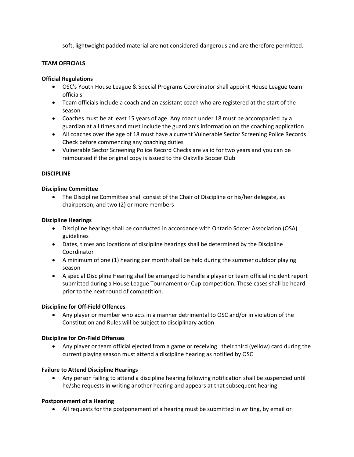soft, lightweight padded material are not considered dangerous and are therefore permitted.

## **TEAM OFFICIALS**

#### **Official Regulations**

- OSC's Youth House League & Special Programs Coordinator shall appoint House League team officials
- Team officials include a coach and an assistant coach who are registered at the start of the season
- Coaches must be at least 15 years of age. Any coach under 18 must be accompanied by a guardian at all times and must include the guardian's information on the coaching application.
- All coaches over the age of 18 must have a current Vulnerable Sector Screening Police Records Check before commencing any coaching duties
- Vulnerable Sector Screening Police Record Checks are valid for two years and you can be reimbursed if the original copy is issued to the Oakville Soccer Club

#### **DISCIPLINE**

#### **Discipline Committee**

• The Discipline Committee shall consist of the Chair of Discipline or his/her delegate, as chairperson, and two (2) or more members

#### **Discipline Hearings**

- Discipline hearings shall be conducted in accordance with Ontario Soccer Association (OSA) guidelines
- Dates, times and locations of discipline hearings shall be determined by the Discipline Coordinator
- A minimum of one (1) hearing per month shall be held during the summer outdoor playing season
- A special Discipline Hearing shall be arranged to handle a player or team official incident report submitted during a House League Tournament or Cup competition. These cases shall be heard prior to the next round of competition.

#### **Discipline for Off-Field Offences**

• Any player or member who acts in a manner detrimental to OSC and/or in violation of the Constitution and Rules will be subject to disciplinary action

# **Discipline for On-Field Offenses**

• Any player or team official ejected from a game or receiving their third (yellow) card during the current playing season must attend a discipline hearing as notified by OSC

# **Failure to Attend Discipline Hearings**

• Any person failing to attend a discipline hearing following notification shall be suspended until he/she requests in writing another hearing and appears at that subsequent hearing

#### **Postponement of a Hearing**

• All requests for the postponement of a hearing must be submitted in writing, by email or